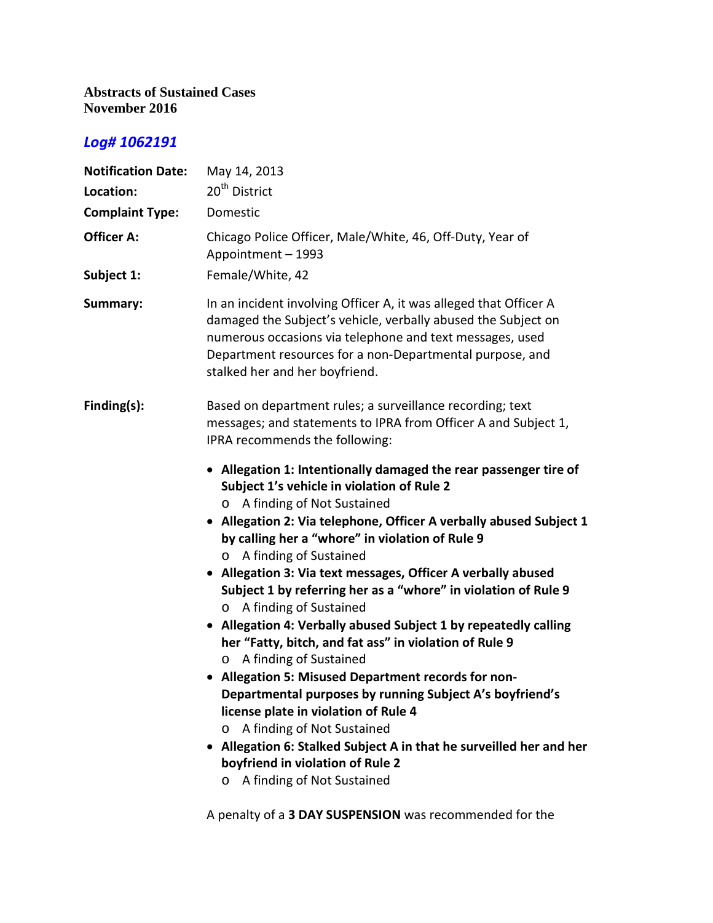## **Abstracts of Sustained Cases November 2016**

## *Log# 1062191*

| <b>Notification Date:</b><br>Location:<br><b>Complaint Type:</b> | May 14, 2013<br>20 <sup>th</sup> District<br>Domestic                                                                                                                                                                                                                                                                                                                                                                                                                                                                                                                                                                                                                                                                                                                                                                                                                                                                                                                                         |
|------------------------------------------------------------------|-----------------------------------------------------------------------------------------------------------------------------------------------------------------------------------------------------------------------------------------------------------------------------------------------------------------------------------------------------------------------------------------------------------------------------------------------------------------------------------------------------------------------------------------------------------------------------------------------------------------------------------------------------------------------------------------------------------------------------------------------------------------------------------------------------------------------------------------------------------------------------------------------------------------------------------------------------------------------------------------------|
| <b>Officer A:</b>                                                | Chicago Police Officer, Male/White, 46, Off-Duty, Year of<br>Appointment - 1993                                                                                                                                                                                                                                                                                                                                                                                                                                                                                                                                                                                                                                                                                                                                                                                                                                                                                                               |
| Subject 1:                                                       | Female/White, 42                                                                                                                                                                                                                                                                                                                                                                                                                                                                                                                                                                                                                                                                                                                                                                                                                                                                                                                                                                              |
| Summary:                                                         | In an incident involving Officer A, it was alleged that Officer A<br>damaged the Subject's vehicle, verbally abused the Subject on<br>numerous occasions via telephone and text messages, used<br>Department resources for a non-Departmental purpose, and<br>stalked her and her boyfriend.                                                                                                                                                                                                                                                                                                                                                                                                                                                                                                                                                                                                                                                                                                  |
| Finding(s):                                                      | Based on department rules; a surveillance recording; text<br>messages; and statements to IPRA from Officer A and Subject 1,<br>IPRA recommends the following:                                                                                                                                                                                                                                                                                                                                                                                                                                                                                                                                                                                                                                                                                                                                                                                                                                 |
|                                                                  | • Allegation 1: Intentionally damaged the rear passenger tire of<br>Subject 1's vehicle in violation of Rule 2<br>A finding of Not Sustained<br>• Allegation 2: Via telephone, Officer A verbally abused Subject 1<br>by calling her a "whore" in violation of Rule 9<br>A finding of Sustained<br>$\circ$<br>Allegation 3: Via text messages, Officer A verbally abused<br>Subject 1 by referring her as a "whore" in violation of Rule 9<br>A finding of Sustained<br>$\circ$<br>• Allegation 4: Verbally abused Subject 1 by repeatedly calling<br>her "Fatty, bitch, and fat ass" in violation of Rule 9<br>A finding of Sustained<br>O<br>• Allegation 5: Misused Department records for non-<br>Departmental purposes by running Subject A's boyfriend's<br>license plate in violation of Rule 4<br>A finding of Not Sustained<br>O<br>• Allegation 6: Stalked Subject A in that he surveilled her and her<br>boyfriend in violation of Rule 2<br>A finding of Not Sustained<br>$\circ$ |

A penalty of a **3 DAY SUSPENSION** was recommended for the